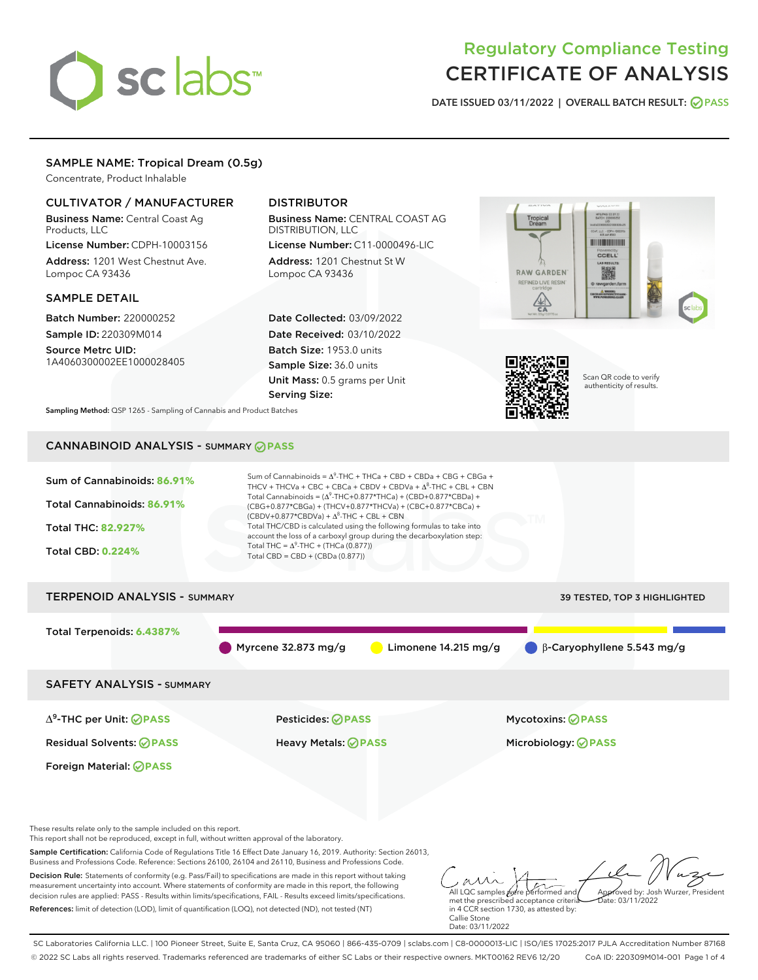# sclabs

# Regulatory Compliance Testing CERTIFICATE OF ANALYSIS

DATE ISSUED 03/11/2022 | OVERALL BATCH RESULT: @ PASS

# SAMPLE NAME: Tropical Dream (0.5g)

Concentrate, Product Inhalable

# CULTIVATOR / MANUFACTURER

Business Name: Central Coast Ag Products, LLC

License Number: CDPH-10003156 Address: 1201 West Chestnut Ave. Lompoc CA 93436

#### SAMPLE DETAIL

Batch Number: 220000252 Sample ID: 220309M014

Source Metrc UID: 1A4060300002EE1000028405

# DISTRIBUTOR

Business Name: CENTRAL COAST AG DISTRIBUTION, LLC License Number: C11-0000496-LIC

Address: 1201 Chestnut St W Lompoc CA 93436

Date Collected: 03/09/2022 Date Received: 03/10/2022 Batch Size: 1953.0 units Sample Size: 36.0 units Unit Mass: 0.5 grams per Unit Serving Size:





Scan QR code to verify authenticity of results.

Sampling Method: QSP 1265 - Sampling of Cannabis and Product Batches

# CANNABINOID ANALYSIS - SUMMARY **PASS**



SC Laboratories California LLC. | 100 Pioneer Street, Suite E, Santa Cruz, CA 95060 | 866-435-0709 | sclabs.com | C8-0000013-LIC | ISO/IES 17025:2017 PJLA Accreditation Number 87168 © 2022 SC Labs all rights reserved. Trademarks referenced are trademarks of either SC Labs or their respective owners. MKT00162 REV6 12/20 CoA ID: 220309M014-001 Page 1 of 4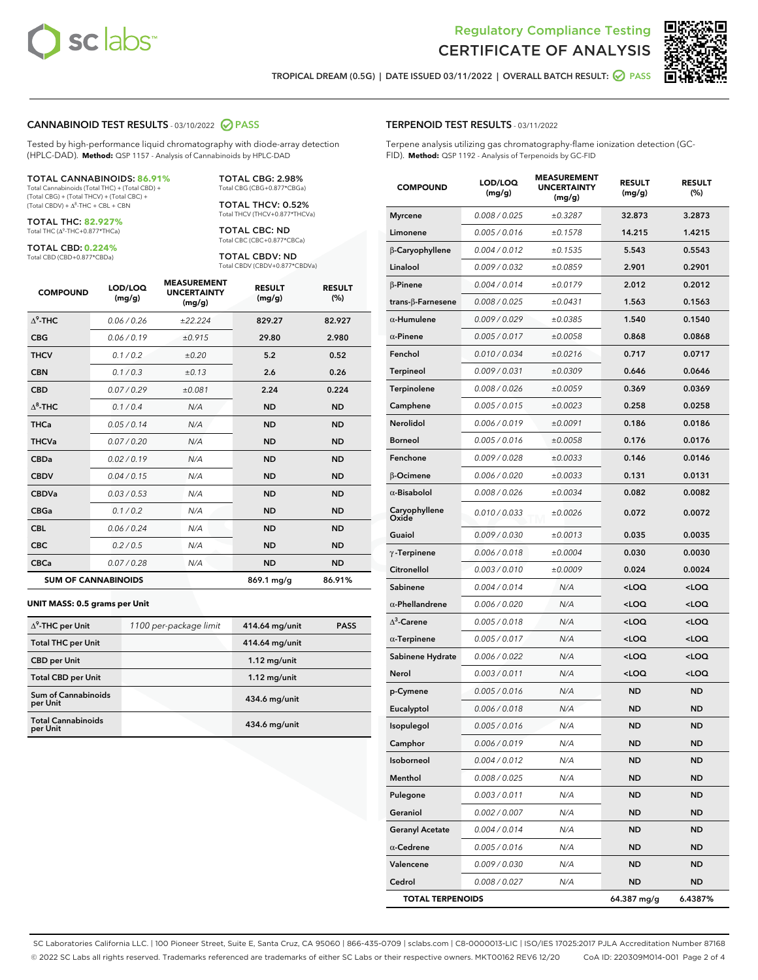

Terpene analysis utilizing gas chromatography-flame ionization detection (GC-



TROPICAL DREAM (0.5G) | DATE ISSUED 03/11/2022 | OVERALL BATCH RESULT:  $\bigcirc$  PASS

TERPENOID TEST RESULTS - 03/11/2022

#### CANNABINOID TEST RESULTS - 03/10/2022 2 PASS

Tested by high-performance liquid chromatography with diode-array detection (HPLC-DAD). **Method:** QSP 1157 - Analysis of Cannabinoids by HPLC-DAD

#### TOTAL CANNABINOIDS: **86.91%**

Total Cannabinoids (Total THC) + (Total CBD) + (Total CBG) + (Total THCV) + (Total CBC) +  $(Total CBDV) +  $\Delta^8$ -THC + CBL + CBN$ 

TOTAL THC: **82.927%** Total THC (Δ<sup>9</sup>-THC+0.877\*THCa)

TOTAL CBD: **0.224%**

Total CBD (CBD+0.877\*CBDa)

TOTAL CBG: 2.98% Total CBG (CBG+0.877\*CBGa)

TOTAL THCV: 0.52% Total THCV (THCV+0.877\*THCVa)

TOTAL CBC: ND Total CBC (CBC+0.877\*CBCa)

TOTAL CBDV: ND Total CBDV (CBDV+0.877\*CBDVa)

| <b>COMPOUND</b>  | LOD/LOQ<br>(mg/g)          | <b>MEASUREMENT</b><br><b>UNCERTAINTY</b><br>(mg/g) | <b>RESULT</b><br>(mg/g) | <b>RESULT</b><br>(%) |
|------------------|----------------------------|----------------------------------------------------|-------------------------|----------------------|
| $\Lambda^9$ -THC | 0.06/0.26                  | ±22.224                                            | 829.27                  | 82.927               |
| <b>CBG</b>       | 0.06/0.19                  | ±0.915                                             | 29.80                   | 2.980                |
| <b>THCV</b>      | 0.1/0.2                    | ±0.20                                              | 5.2                     | 0.52                 |
| <b>CBN</b>       | 0.1/0.3                    | ±0.13                                              | 2.6                     | 0.26                 |
| <b>CBD</b>       | 0.07/0.29                  | ±0.081                                             | 2.24                    | 0.224                |
| $\Delta^8$ -THC  | 0.1 / 0.4                  | N/A                                                | <b>ND</b>               | <b>ND</b>            |
| <b>THCa</b>      | 0.05/0.14                  | N/A                                                | <b>ND</b>               | <b>ND</b>            |
| <b>THCVa</b>     | 0.07 / 0.20                | N/A                                                | <b>ND</b>               | <b>ND</b>            |
| <b>CBDa</b>      | 0.02/0.19                  | N/A                                                | <b>ND</b>               | <b>ND</b>            |
| <b>CBDV</b>      | 0.04 / 0.15                | N/A                                                | <b>ND</b>               | <b>ND</b>            |
| <b>CBDVa</b>     | 0.03/0.53                  | N/A                                                | <b>ND</b>               | <b>ND</b>            |
| <b>CBGa</b>      | 0.1 / 0.2                  | N/A                                                | <b>ND</b>               | <b>ND</b>            |
| <b>CBL</b>       | 0.06 / 0.24                | N/A                                                | <b>ND</b>               | <b>ND</b>            |
| <b>CBC</b>       | 0.2 / 0.5                  | N/A                                                | <b>ND</b>               | <b>ND</b>            |
| <b>CBCa</b>      | 0.07 / 0.28                | N/A                                                | <b>ND</b>               | <b>ND</b>            |
|                  | <b>SUM OF CANNABINOIDS</b> |                                                    | 869.1 mg/g              | 86.91%               |

#### **UNIT MASS: 0.5 grams per Unit**

| $\Delta^9$ -THC per Unit              | 1100 per-package limit | 414.64 mg/unit | <b>PASS</b> |
|---------------------------------------|------------------------|----------------|-------------|
| <b>Total THC per Unit</b>             |                        | 414.64 mg/unit |             |
| <b>CBD</b> per Unit                   |                        | $1.12$ mg/unit |             |
| <b>Total CBD per Unit</b>             |                        | $1.12$ mg/unit |             |
| Sum of Cannabinoids<br>per Unit       |                        | 434.6 mg/unit  |             |
| <b>Total Cannabinoids</b><br>per Unit |                        | 434.6 mg/unit  |             |

| <b>COMPOUND</b>        | LOD/LOQ<br>(mg/g) | <b>MEASUREMENT</b><br><b>UNCERTAINTY</b><br>(mg/g) | <b>RESULT</b><br>(mg/g)                          | <b>RESULT</b><br>(%) |
|------------------------|-------------------|----------------------------------------------------|--------------------------------------------------|----------------------|
| <b>Myrcene</b>         | 0.008 / 0.025     | ±0.3287                                            | 32.873                                           | 3.2873               |
| Limonene               | 0.005 / 0.016     | ±0.1578                                            | 14.215                                           | 1.4215               |
| β-Caryophyllene        | 0.004 / 0.012     | ±0.1535                                            | 5.543                                            | 0.5543               |
| Linalool               | 0.009 / 0.032     | ±0.0859                                            | 2.901                                            | 0.2901               |
| <b>B-Pinene</b>        | 0.004 / 0.014     | ±0.0179                                            | 2.012                                            | 0.2012               |
| trans-β-Farnesene      | 0.008 / 0.025     | ±0.0431                                            | 1.563                                            | 0.1563               |
| $\alpha$ -Humulene     | 0.009 / 0.029     | ±0.0385                                            | 1.540                                            | 0.1540               |
| $\alpha$ -Pinene       | 0.005 / 0.017     | ±0.0058                                            | 0.868                                            | 0.0868               |
| Fenchol                | 0.010 / 0.034     | ±0.0216                                            | 0.717                                            | 0.0717               |
| <b>Terpineol</b>       | 0.009 / 0.031     | ±0.0309                                            | 0.646                                            | 0.0646               |
| Terpinolene            | 0.008 / 0.026     | ±0.0059                                            | 0.369                                            | 0.0369               |
| Camphene               | 0.005 / 0.015     | ±0.0023                                            | 0.258                                            | 0.0258               |
| <b>Nerolidol</b>       | 0.006 / 0.019     | ±0.0091                                            | 0.186                                            | 0.0186               |
| <b>Borneol</b>         | 0.005 / 0.016     | ±0.0058                                            | 0.176                                            | 0.0176               |
| Fenchone               | 0.009 / 0.028     | ±0.0033                                            | 0.146                                            | 0.0146               |
| <b>B-Ocimene</b>       | 0.006 / 0.020     | ±0.0033                                            | 0.131                                            | 0.0131               |
| $\alpha$ -Bisabolol    | 0.008 / 0.026     | ±0.0034                                            | 0.082                                            | 0.0082               |
| Caryophyllene<br>Oxide | 0.010 / 0.033     | ±0.0026                                            | 0.072                                            | 0.0072               |
| Guaiol                 | 0.009 / 0.030     | ±0.0013                                            | 0.035                                            | 0.0035               |
| $\gamma$ -Terpinene    | 0.006 / 0.018     | ±0.0004                                            | 0.030                                            | 0.0030               |
| Citronellol            | 0.003 / 0.010     | ±0.0009                                            | 0.024                                            | 0.0024               |
| Sabinene               | 0.004 / 0.014     | N/A                                                | <loq< td=""><td><math>&lt;</math>LOQ</td></loq<> | $<$ LOQ              |
| $\alpha$ -Phellandrene | 0.006 / 0.020     | N/A                                                | <loq< td=""><td><loq< td=""></loq<></td></loq<>  | <loq< td=""></loq<>  |
| $\Delta^3$ -Carene     | 0.005 / 0.018     | N/A                                                | <loq< td=""><td><loq< td=""></loq<></td></loq<>  | <loq< td=""></loq<>  |
| $\alpha$ -Terpinene    | 0.005 / 0.017     | N/A                                                | <loq< td=""><td><loq< td=""></loq<></td></loq<>  | <loq< td=""></loq<>  |
| Sabinene Hydrate       | 0.006 / 0.022     | N/A                                                | <loq< td=""><td><loq< td=""></loq<></td></loq<>  | <loq< td=""></loq<>  |
| Nerol                  | 0.003 / 0.011     | N/A                                                | <loq< td=""><td><loq< td=""></loq<></td></loq<>  | <loq< td=""></loq<>  |
| p-Cymene               | 0.005 / 0.016     | N/A                                                | <b>ND</b>                                        | <b>ND</b>            |
| Eucalyptol             | 0.006 / 0.018     | N/A                                                | ND                                               | <b>ND</b>            |
| Isopulegol             | 0.005 / 0.016     | N/A                                                | <b>ND</b>                                        | <b>ND</b>            |
| Camphor                | 0.006 / 0.019     | N/A                                                | <b>ND</b>                                        | <b>ND</b>            |

Isoborneol 0.004 / 0.012 N/A ND ND Menthol 0.008 / 0.025 N/A ND ND Pulegone 0.003/0.011 N/A ND ND Geraniol 0.002 / 0.007 N/A ND ND Geranyl Acetate 0.004/0.014 N/A ND ND α-Cedrene 0.005/0.016 N/A ND ND **Valencene** 0.009/0.030 N/A ND ND Cedrol 0.008 / 0.027 N/A ND ND TOTAL TERPENOIDS 64.387 mg/g 6.4387%

SC Laboratories California LLC. | 100 Pioneer Street, Suite E, Santa Cruz, CA 95060 | 866-435-0709 | sclabs.com | C8-0000013-LIC | ISO/IES 17025:2017 PJLA Accreditation Number 87168 © 2022 SC Labs all rights reserved. Trademarks referenced are trademarks of either SC Labs or their respective owners. MKT00162 REV6 12/20 CoA ID: 220309M014-001 Page 2 of 4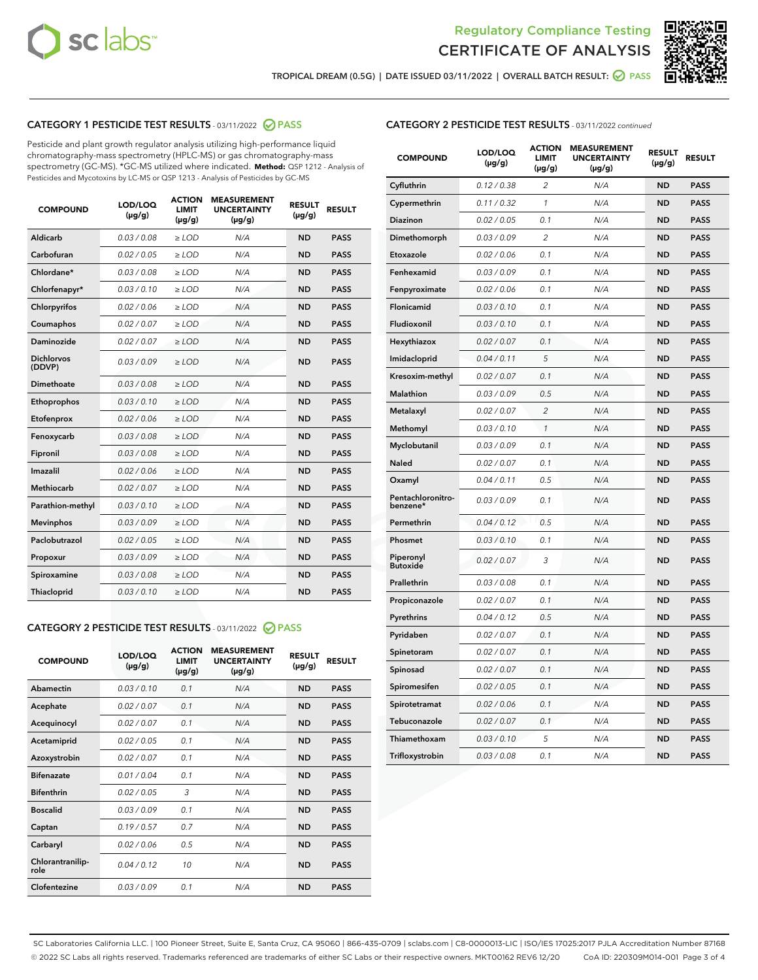



TROPICAL DREAM (0.5G) | DATE ISSUED 03/11/2022 | OVERALL BATCH RESULT:  $\bigcirc$  PASS

# CATEGORY 1 PESTICIDE TEST RESULTS - 03/11/2022 2 PASS

Pesticide and plant growth regulator analysis utilizing high-performance liquid chromatography-mass spectrometry (HPLC-MS) or gas chromatography-mass spectrometry (GC-MS). \*GC-MS utilized where indicated. **Method:** QSP 1212 - Analysis of Pesticides and Mycotoxins by LC-MS or QSP 1213 - Analysis of Pesticides by GC-MS

| <b>COMPOUND</b>             | LOD/LOQ<br>$(\mu g/g)$ | <b>ACTION</b><br><b>LIMIT</b><br>$(\mu g/g)$ | <b>MEASUREMENT</b><br><b>UNCERTAINTY</b><br>$(\mu g/g)$ | <b>RESULT</b><br>$(\mu g/g)$ | <b>RESULT</b> |
|-----------------------------|------------------------|----------------------------------------------|---------------------------------------------------------|------------------------------|---------------|
| <b>Aldicarb</b>             | 0.03 / 0.08            | $\geq$ LOD                                   | N/A                                                     | <b>ND</b>                    | <b>PASS</b>   |
| Carbofuran                  | 0.02 / 0.05            | $\ge$ LOD                                    | N/A                                                     | <b>ND</b>                    | <b>PASS</b>   |
| Chlordane*                  | 0.03/0.08              | $>$ LOD                                      | N/A                                                     | <b>ND</b>                    | <b>PASS</b>   |
| Chlorfenapyr*               | 0.03/0.10              | ≥ LOD                                        | N/A                                                     | <b>ND</b>                    | <b>PASS</b>   |
| Chlorpyrifos                | 0.02/0.06              | $>$ LOD                                      | N/A                                                     | <b>ND</b>                    | <b>PASS</b>   |
| Coumaphos                   | 0.02 / 0.07            | $\ge$ LOD                                    | N/A                                                     | <b>ND</b>                    | <b>PASS</b>   |
| Daminozide                  | 0.02 / 0.07            | ≥ LOD                                        | N/A                                                     | <b>ND</b>                    | <b>PASS</b>   |
| <b>Dichlorvos</b><br>(DDVP) | 0.03/0.09              | > LOD                                        | N/A                                                     | <b>ND</b>                    | <b>PASS</b>   |
| Dimethoate                  | 0.03 / 0.08            | $>$ LOD                                      | N/A                                                     | <b>ND</b>                    | <b>PASS</b>   |
| Ethoprophos                 | 0.03/0.10              | $>$ LOD                                      | N/A                                                     | <b>ND</b>                    | <b>PASS</b>   |
| Etofenprox                  | 0.02 / 0.06            | $\geq$ LOD                                   | N/A                                                     | <b>ND</b>                    | <b>PASS</b>   |
| Fenoxycarb                  | 0.03/0.08              | $>$ LOD                                      | N/A                                                     | <b>ND</b>                    | <b>PASS</b>   |
| Fipronil                    | 0.03 / 0.08            | $\ge$ LOD                                    | N/A                                                     | <b>ND</b>                    | <b>PASS</b>   |
| Imazalil                    | 0.02 / 0.06            | $\geq$ LOD                                   | N/A                                                     | <b>ND</b>                    | <b>PASS</b>   |
| Methiocarb                  | 0.02 / 0.07            | $\ge$ LOD                                    | N/A                                                     | <b>ND</b>                    | <b>PASS</b>   |
| Parathion-methyl            | 0.03/0.10              | $>$ LOD                                      | N/A                                                     | <b>ND</b>                    | <b>PASS</b>   |
| <b>Mevinphos</b>            | 0.03/0.09              | $\ge$ LOD                                    | N/A                                                     | <b>ND</b>                    | <b>PASS</b>   |
| Paclobutrazol               | 0.02 / 0.05            | $\ge$ LOD                                    | N/A                                                     | <b>ND</b>                    | <b>PASS</b>   |
| Propoxur                    | 0.03/0.09              | $\geq$ LOD                                   | N/A                                                     | <b>ND</b>                    | <b>PASS</b>   |
| Spiroxamine                 | 0.03 / 0.08            | $\ge$ LOD                                    | N/A                                                     | <b>ND</b>                    | <b>PASS</b>   |
| Thiacloprid                 | 0.03/0.10              | $\geq$ LOD                                   | N/A                                                     | <b>ND</b>                    | <b>PASS</b>   |

## CATEGORY 2 PESTICIDE TEST RESULTS - 03/11/2022 @ PASS

| <b>COMPOUND</b>          | LOD/LOO<br>$(\mu g/g)$ | <b>ACTION</b><br><b>LIMIT</b><br>$(\mu g/g)$ | <b>MEASUREMENT</b><br><b>UNCERTAINTY</b><br>$(\mu g/g)$ | <b>RESULT</b><br>$(\mu g/g)$ | <b>RESULT</b> |
|--------------------------|------------------------|----------------------------------------------|---------------------------------------------------------|------------------------------|---------------|
| Abamectin                | 0.03/0.10              | 0.1                                          | N/A                                                     | <b>ND</b>                    | <b>PASS</b>   |
| Acephate                 | 0.02/0.07              | 0.1                                          | N/A                                                     | <b>ND</b>                    | <b>PASS</b>   |
| Acequinocyl              | 0.02/0.07              | 0.1                                          | N/A                                                     | <b>ND</b>                    | <b>PASS</b>   |
| Acetamiprid              | 0.02/0.05              | 0.1                                          | N/A                                                     | <b>ND</b>                    | <b>PASS</b>   |
| Azoxystrobin             | 0.02/0.07              | 0.1                                          | N/A                                                     | <b>ND</b>                    | <b>PASS</b>   |
| <b>Bifenazate</b>        | 0.01/0.04              | 0.1                                          | N/A                                                     | <b>ND</b>                    | <b>PASS</b>   |
| <b>Bifenthrin</b>        | 0.02/0.05              | 3                                            | N/A                                                     | <b>ND</b>                    | <b>PASS</b>   |
| <b>Boscalid</b>          | 0.03/0.09              | 0.1                                          | N/A                                                     | <b>ND</b>                    | <b>PASS</b>   |
| Captan                   | 0.19/0.57              | 0.7                                          | N/A                                                     | <b>ND</b>                    | <b>PASS</b>   |
| Carbaryl                 | 0.02/0.06              | 0.5                                          | N/A                                                     | <b>ND</b>                    | <b>PASS</b>   |
| Chlorantranilip-<br>role | 0.04/0.12              | 10                                           | N/A                                                     | <b>ND</b>                    | <b>PASS</b>   |
| Clofentezine             | 0.03/0.09              | 0.1                                          | N/A                                                     | <b>ND</b>                    | <b>PASS</b>   |

# CATEGORY 2 PESTICIDE TEST RESULTS - 03/11/2022 continued

| <b>COMPOUND</b>               | LOD/LOQ<br>$(\mu g/g)$ | <b>ACTION</b><br><b>LIMIT</b><br>(µg/g) | <b>MEASUREMENT</b><br><b>UNCERTAINTY</b><br>$(\mu g/g)$ | <b>RESULT</b><br>(µg/g) | <b>RESULT</b> |
|-------------------------------|------------------------|-----------------------------------------|---------------------------------------------------------|-------------------------|---------------|
| Cyfluthrin                    | 0.12 / 0.38            | $\overline{2}$                          | N/A                                                     | <b>ND</b>               | <b>PASS</b>   |
| Cypermethrin                  | 0.11 / 0.32            | 1                                       | N/A                                                     | ND                      | <b>PASS</b>   |
| Diazinon                      | 0.02 / 0.05            | 0.1                                     | N/A                                                     | ND                      | <b>PASS</b>   |
| Dimethomorph                  | 0.03 / 0.09            | $\overline{\mathcal{L}}$                | N/A                                                     | ND                      | <b>PASS</b>   |
| Etoxazole                     | 0.02 / 0.06            | 0.1                                     | N/A                                                     | <b>ND</b>               | <b>PASS</b>   |
| Fenhexamid                    | 0.03 / 0.09            | 0.1                                     | N/A                                                     | <b>ND</b>               | <b>PASS</b>   |
| Fenpyroximate                 | 0.02 / 0.06            | 0.1                                     | N/A                                                     | <b>ND</b>               | <b>PASS</b>   |
| Flonicamid                    | 0.03 / 0.10            | 0.1                                     | N/A                                                     | <b>ND</b>               | <b>PASS</b>   |
| Fludioxonil                   | 0.03 / 0.10            | 0.1                                     | N/A                                                     | <b>ND</b>               | <b>PASS</b>   |
| Hexythiazox                   | 0.02 / 0.07            | 0.1                                     | N/A                                                     | <b>ND</b>               | <b>PASS</b>   |
| Imidacloprid                  | 0.04 / 0.11            | 5                                       | N/A                                                     | <b>ND</b>               | <b>PASS</b>   |
| Kresoxim-methyl               | 0.02 / 0.07            | 0.1                                     | N/A                                                     | <b>ND</b>               | <b>PASS</b>   |
| Malathion                     | 0.03 / 0.09            | 0.5                                     | N/A                                                     | ND                      | <b>PASS</b>   |
| Metalaxyl                     | 0.02 / 0.07            | $\overline{c}$                          | N/A                                                     | ND                      | <b>PASS</b>   |
| Methomyl                      | 0.03 / 0.10            | $\mathbf{1}$                            | N/A                                                     | <b>ND</b>               | <b>PASS</b>   |
| Myclobutanil                  | 0.03 / 0.09            | 0.1                                     | N/A                                                     | ND                      | <b>PASS</b>   |
| Naled                         | 0.02 / 0.07            | 0.1                                     | N/A                                                     | ND                      | <b>PASS</b>   |
| Oxamyl                        | 0.04/0.11              | 0.5                                     | N/A                                                     | ND                      | <b>PASS</b>   |
| Pentachloronitro-<br>benzene* | 0.03 / 0.09            | 0.1                                     | N/A                                                     | ND                      | <b>PASS</b>   |
| Permethrin                    | 0.04 / 0.12            | 0.5                                     | N/A                                                     | <b>ND</b>               | <b>PASS</b>   |
| Phosmet                       | 0.03 / 0.10            | 0.1                                     | N/A                                                     | ND                      | <b>PASS</b>   |
| Piperonyl<br><b>Butoxide</b>  | 0.02 / 0.07            | 3                                       | N/A                                                     | ND                      | <b>PASS</b>   |
| Prallethrin                   | 0.03 / 0.08            | 0.1                                     | N/A                                                     | <b>ND</b>               | <b>PASS</b>   |
| Propiconazole                 | 0.02 / 0.07            | 0.1                                     | N/A                                                     | <b>ND</b>               | <b>PASS</b>   |
| Pyrethrins                    | 0.04 / 0.12            | 0.5                                     | N/A                                                     | ND                      | <b>PASS</b>   |
| Pyridaben                     | 0.02 / 0.07            | 0.1                                     | N/A                                                     | ND                      | <b>PASS</b>   |
| Spinetoram                    | 0.02 / 0.07            | 0.1                                     | N/A                                                     | ND                      | <b>PASS</b>   |
| Spinosad                      | 0.02 / 0.07            | 0.1                                     | N/A                                                     | <b>ND</b>               | <b>PASS</b>   |
| Spiromesifen                  | 0.02 / 0.05            | 0.1                                     | N/A                                                     | <b>ND</b>               | <b>PASS</b>   |
| Spirotetramat                 | 0.02 / 0.06            | 0.1                                     | N/A                                                     | ND                      | <b>PASS</b>   |
| Tebuconazole                  | 0.02 / 0.07            | 0.1                                     | N/A                                                     | ND                      | <b>PASS</b>   |
| Thiamethoxam                  | 0.03 / 0.10            | 5                                       | N/A                                                     | <b>ND</b>               | <b>PASS</b>   |
| Trifloxystrobin               | 0.03 / 0.08            | 0.1                                     | N/A                                                     | <b>ND</b>               | <b>PASS</b>   |

SC Laboratories California LLC. | 100 Pioneer Street, Suite E, Santa Cruz, CA 95060 | 866-435-0709 | sclabs.com | C8-0000013-LIC | ISO/IES 17025:2017 PJLA Accreditation Number 87168 © 2022 SC Labs all rights reserved. Trademarks referenced are trademarks of either SC Labs or their respective owners. MKT00162 REV6 12/20 CoA ID: 220309M014-001 Page 3 of 4